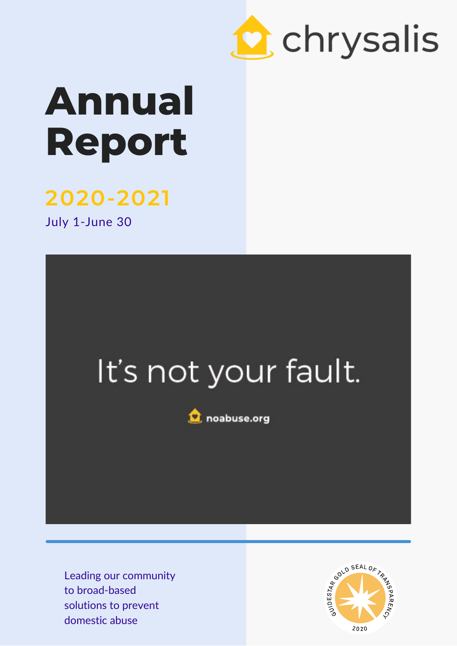

## **Annual Report**

## **2020-2021**

July 1-June 30

## It's not your fault.



Leading our community to broad-based solutions to prevent domestic abuse

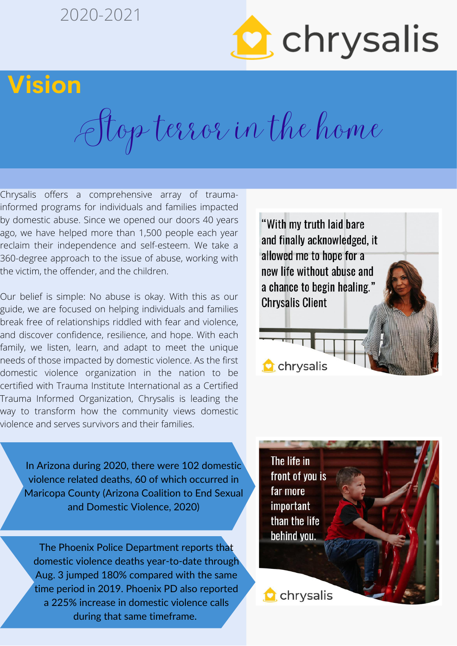### 2020-2021



## **Vision**

Stop terror in the home

Chrysalis offers a comprehensive array of traumainformed programs for individuals and families impacted by domestic abuse. Since we opened our doors 40 years ago, we have helped more than 1,500 people each year reclaim their independence and self-esteem. We take a 360-degree approach to the issue of abuse, working with the victim, the offender, and the children.

Our belief is simple: No abuse is okay. With this as our guide, we are focused on helping individuals and families break free of relationships riddled with fear and violence, and discover confidence, resilience, and hope. With each family, we listen, learn, and adapt to meet the unique needs of those impacted by domestic violence. As the first domestic violence organization in the nation to be certified with Trauma Institute International as a Certified Trauma Informed Organization, Chrysalis is leading the way to transform how the community views domestic violence and serves survivors and their families.

In Arizona during 2020, there were 102 domestic violence related deaths, 60 of which occurred in Maricopa County (Arizona Coalition to End Sexual and Domestic Violence, 2020)

The Phoenix Police Department reports that domestic violence deaths year-to-date through Aug. 3 jumped 180% compared with the same time period in 2019. Phoenix PD also reported a 225% increase in domestic violence calls during that same timeframe.



The life in front of you is far more important than the life behind you.

**C** chrysalis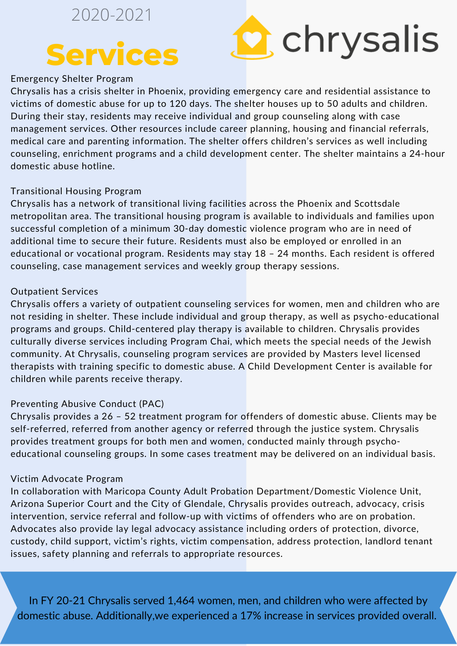### 2020-2021

## **Services**



#### Emergency Shelter Program

Chrysalis has a crisis shelter in Phoenix, providing emergency care and residential assistance to victims of domestic abuse for up to 120 days. The shelter houses up to 50 adults and children. During their stay, residents may receive individual and group counseling along with case management services. Other resources include career planning, housing and financial referrals, medical care and parenting information. The shelter offers children's services as well including counseling, enrichment programs and a child development center. The shelter maintains a 24-hour domestic abuse hotline.

#### Transitional Housing Program

Chrysalis has a network of transitional living facilities across the Phoenix and Scottsdale metropolitan area. The transitional housing program is available to individuals and families upon successful completion of a minimum 30-day domestic violence program who are in need of additional time to secure their future. Residents must also be employed or enrolled in an educational or vocational program. Residents may stay 18 – 24 months. Each resident is offered counseling, case management services and weekly group therapy sessions.

#### Outpatient Services

Chrysalis offers a variety of outpatient counseling services for women, men and children who are not residing in shelter. These include individual and group therapy, as well as psycho-educational programs and groups. Child-centered play therapy is available to children. Chrysalis provides culturally diverse services including Program Chai, which meets the special needs of the Jewish community. At Chrysalis, counseling program services are provided by Masters level licensed therapists with training specific to domestic abuse. A Child Development Center is available for children while parents receive therapy.

#### Preventing Abusive Conduct (PAC)

Chrysalis provides a 26 – 52 treatment program for offenders of domestic abuse. Clients may be self-referred, referred from another agency or referred through the justice system. Chrysalis provides treatment groups for both men and women, conducted mainly through psychoeducational counseling groups. In some cases treatment may be delivered on an individual basis.

#### Victim Advocate Program

In collaboration with Maricopa County Adult Probation Department/Domestic Violence Unit, Arizona Superior Court and the City of Glendale, Chrysalis provides outreach, advocacy, crisis intervention, service referral and follow-up with victims of offenders who are on probation. Advocates also provide lay legal advocacy assistance including orders of protection, divorce, custody, child support, victim's rights, victim compensation, address protection, landlord tenant issues, safety planning and referrals to appropriate resources.

In FY 20-21 Chrysalis served 1,464 women, men, and children who were affected by domestic abuse. Additionally,we experienced a 17% increase in services provided overall.